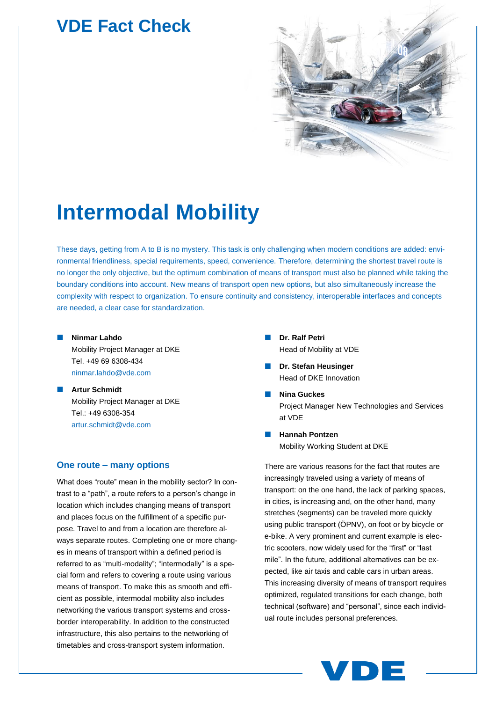# **VDE Fact Check**



# **Intermodal Mobility**

These days, getting from A to B is no mystery. This task is only challenging when modern conditions are added: environmental friendliness, special requirements, speed, convenience. Therefore, determining the shortest travel route is no longer the only objective, but the optimum combination of means of transport must also be planned while taking the boundary conditions into account. New means of transport open new options, but also simultaneously increase the complexity with respect to organization. To ensure continuity and consistency, interoperable interfaces and concepts are needed, a clear case for standardization.

- **Ninmar Lahdo** Mobility Project Manager at DKE Tel. +49 69 6308-434 [ninmar.lahdo@vde.com](mailto:ninmar.lahdo@vde.com)
- **Artur Schmidt** Mobility Project Manager at DKE Tel.: +49 6308-354 [artur.schmidt@vde.com](mailto:artur.schmidt@vde.com)

### **One route – many options**

What does "route" mean in the mobility sector? In contrast to a "path", a route refers to a person's change in location which includes changing means of transport and places focus on the fulfillment of a specific purpose. Travel to and from a location are therefore always separate routes. Completing one or more changes in means of transport within a defined period is referred to as "multi-modality"; "intermodally" is a special form and refers to covering a route using various means of transport. To make this as smooth and efficient as possible, intermodal mobility also includes networking the various transport systems and crossborder interoperability. In addition to the constructed infrastructure, this also pertains to the networking of timetables and cross-transport system information.

- **Dr. Ralf Petri** Head of Mobility at VDE
- **Dr. Stefan Heusinger** Head of DKE Innovation
- **Nina Guckes** Project Manager New Technologies and Services at VDE
- **Hannah Pontzen** Mobility Working Student at DKE

There are various reasons for the fact that routes are increasingly traveled using a variety of means of transport: on the one hand, the lack of parking spaces, in cities, is increasing and, on the other hand, many stretches (segments) can be traveled more quickly using public transport (ÖPNV), on foot or by bicycle or e-bike. A very prominent and current example is electric scooters, now widely used for the "first" or "last mile". In the future, additional alternatives can be expected, like air taxis and cable cars in urban areas. This increasing diversity of means of transport requires optimized, regulated transitions for each change, both technical (software) and "personal", since each individual route includes personal preferences.

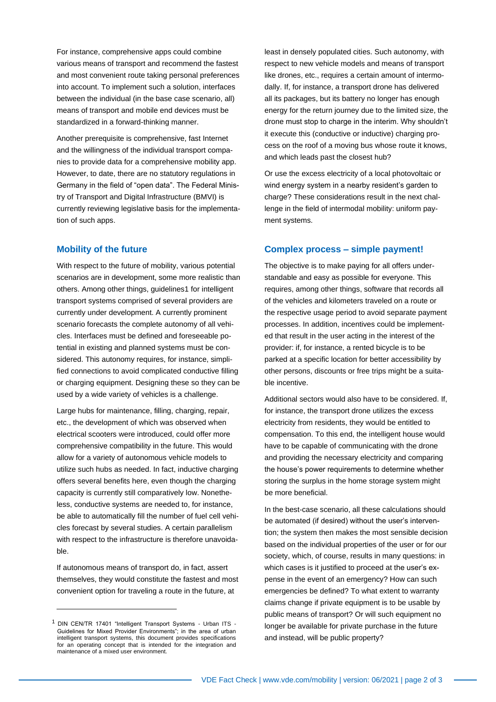For instance, comprehensive apps could combine various means of transport and recommend the fastest and most convenient route taking personal preferences into account. To implement such a solution, interfaces between the individual (in the base case scenario, all) means of transport and mobile end devices must be standardized in a forward-thinking manner.

Another prerequisite is comprehensive, fast Internet and the willingness of the individual transport companies to provide data for a comprehensive mobility app. However, to date, there are no statutory regulations in Germany in the field of "open data". The Federal Ministry of Transport and Digital Infrastructure (BMVI) is currently reviewing legislative basis for the implementation of such apps.

#### **Mobility of the future**

With respect to the future of mobility, various potential scenarios are in development, some more realistic than others. Among other things, guidelines1 for intelligent transport systems comprised of several providers are currently under development. A currently prominent scenario forecasts the complete autonomy of all vehicles. Interfaces must be defined and foreseeable potential in existing and planned systems must be considered. This autonomy requires, for instance, simplified connections to avoid complicated conductive filling or charging equipment. Designing these so they can be used by a wide variety of vehicles is a challenge.

Large hubs for maintenance, filling, charging, repair, etc., the development of which was observed when electrical scooters were introduced, could offer more comprehensive compatibility in the future. This would allow for a variety of autonomous vehicle models to utilize such hubs as needed. In fact, inductive charging offers several benefits here, even though the charging capacity is currently still comparatively low. Nonetheless, conductive systems are needed to, for instance, be able to automatically fill the number of fuel cell vehicles forecast by several studies. A certain parallelism with respect to the infrastructure is therefore unavoidable.

If autonomous means of transport do, in fact, assert themselves, they would constitute the fastest and most convenient option for traveling a route in the future, at

least in densely populated cities. Such autonomy, with respect to new vehicle models and means of transport like drones, etc., requires a certain amount of intermodally. If, for instance, a transport drone has delivered all its packages, but its battery no longer has enough energy for the return journey due to the limited size, the drone must stop to charge in the interim. Why shouldn't it execute this (conductive or inductive) charging process on the roof of a moving bus whose route it knows, and which leads past the closest hub?

Or use the excess electricity of a local photovoltaic or wind energy system in a nearby resident's garden to charge? These considerations result in the next challenge in the field of intermodal mobility: uniform payment systems.

#### **Complex process – simple payment!**

The objective is to make paying for all offers understandable and easy as possible for everyone. This requires, among other things, software that records all of the vehicles and kilometers traveled on a route or the respective usage period to avoid separate payment processes. In addition, incentives could be implemented that result in the user acting in the interest of the provider: if, for instance, a rented bicycle is to be parked at a specific location for better accessibility by other persons, discounts or free trips might be a suitable incentive.

Additional sectors would also have to be considered. If, for instance, the transport drone utilizes the excess electricity from residents, they would be entitled to compensation. To this end, the intelligent house would have to be capable of communicating with the drone and providing the necessary electricity and comparing the house's power requirements to determine whether storing the surplus in the home storage system might be more beneficial.

In the best-case scenario, all these calculations should be automated (if desired) without the user's intervention; the system then makes the most sensible decision based on the individual properties of the user or for our society, which, of course, results in many questions: in which cases is it justified to proceed at the user's expense in the event of an emergency? How can such emergencies be defined? To what extent to warranty claims change if private equipment is to be usable by public means of transport? Or will such equipment no longer be available for private purchase in the future and instead, will be public property?

<sup>&</sup>lt;sup>1</sup> DIN CEN/TR 17401 "Intelligent Transport Systems - Urban ITS -Guidelines for Mixed Provider Environments"; in the area of urban intelligent transport systems, this document provides specifications for an operating concept that is intended for the integration and maintenance of a mixed user environment.